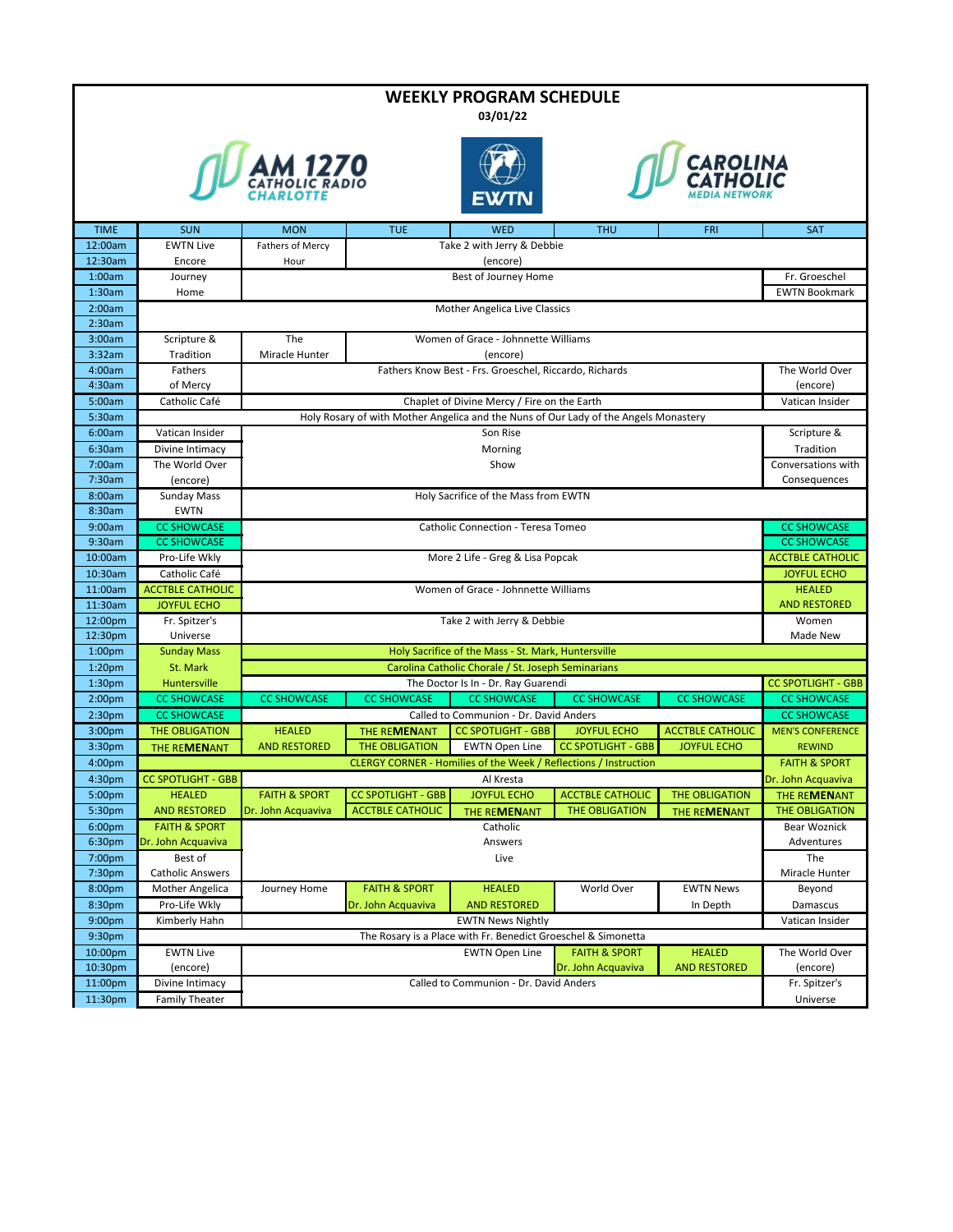| <b>WEEKLY PROGRAM SCHEDULE</b>           |                                          |                                                                                              |                                                                                                                                                        |                                                                     |                           |                         |                                               |  |  |
|------------------------------------------|------------------------------------------|----------------------------------------------------------------------------------------------|--------------------------------------------------------------------------------------------------------------------------------------------------------|---------------------------------------------------------------------|---------------------------|-------------------------|-----------------------------------------------|--|--|
| 03/01/22                                 |                                          |                                                                                              |                                                                                                                                                        |                                                                     |                           |                         |                                               |  |  |
|                                          | CAROLINA                                 |                                                                                              |                                                                                                                                                        |                                                                     |                           |                         |                                               |  |  |
|                                          |                                          |                                                                                              |                                                                                                                                                        |                                                                     |                           |                         |                                               |  |  |
|                                          |                                          |                                                                                              |                                                                                                                                                        |                                                                     |                           |                         |                                               |  |  |
|                                          |                                          |                                                                                              |                                                                                                                                                        |                                                                     |                           |                         |                                               |  |  |
|                                          |                                          |                                                                                              |                                                                                                                                                        |                                                                     |                           |                         |                                               |  |  |
| <b>TIME</b>                              | <b>SUN</b>                               | <b>MON</b>                                                                                   | <b>TUE</b>                                                                                                                                             | <b>WED</b>                                                          | <b>THU</b>                | <b>FRI</b>              | <b>SAT</b>                                    |  |  |
| 12:00am                                  | <b>EWTN Live</b>                         | Fathers of Mercy                                                                             |                                                                                                                                                        | Take 2 with Jerry & Debbie                                          |                           |                         |                                               |  |  |
| 12:30am                                  | Encore                                   | (encore)<br>Hour                                                                             |                                                                                                                                                        |                                                                     |                           |                         |                                               |  |  |
| 1:00am                                   | Journey                                  | Best of Journey Home                                                                         |                                                                                                                                                        |                                                                     |                           |                         | Fr. Groeschel                                 |  |  |
| 1:30am<br>2:00am                         | Home                                     |                                                                                              | <b>EWTN Bookmark</b><br>Mother Angelica Live Classics                                                                                                  |                                                                     |                           |                         |                                               |  |  |
| 2:30am                                   |                                          |                                                                                              |                                                                                                                                                        |                                                                     |                           |                         |                                               |  |  |
| 3:00am                                   | Scripture &                              | The                                                                                          |                                                                                                                                                        | Women of Grace - Johnnette Williams                                 |                           |                         |                                               |  |  |
| 3:32am                                   | Tradition                                | Miracle Hunter                                                                               |                                                                                                                                                        | (encore)                                                            |                           |                         |                                               |  |  |
| 4:00am                                   | Fathers                                  | Fathers Know Best - Frs. Groeschel, Riccardo, Richards                                       |                                                                                                                                                        |                                                                     |                           |                         | The World Over                                |  |  |
| 4:30am                                   | of Mercy                                 |                                                                                              |                                                                                                                                                        |                                                                     |                           |                         | (encore)                                      |  |  |
| 5:00am                                   | Catholic Café                            |                                                                                              | Chaplet of Divine Mercy / Fire on the Earth<br>Vatican Insider<br>Holy Rosary of with Mother Angelica and the Nuns of Our Lady of the Angels Monastery |                                                                     |                           |                         |                                               |  |  |
| 5:30am<br>6:00am                         | Vatican Insider                          |                                                                                              |                                                                                                                                                        |                                                                     |                           |                         | Scripture &                                   |  |  |
| 6:30am                                   | Divine Intimacy                          | Son Rise<br>Morning                                                                          |                                                                                                                                                        |                                                                     |                           |                         | Tradition                                     |  |  |
| 7:00am                                   | The World Over                           |                                                                                              |                                                                                                                                                        | Show                                                                |                           |                         | Conversations with                            |  |  |
| 7:30am                                   | (encore)                                 |                                                                                              |                                                                                                                                                        |                                                                     |                           |                         | Consequences                                  |  |  |
| 8:00am                                   | Sunday Mass                              | Holy Sacrifice of the Mass from EWTN                                                         |                                                                                                                                                        |                                                                     |                           |                         |                                               |  |  |
| 8:30am                                   | <b>EWTN</b>                              |                                                                                              |                                                                                                                                                        |                                                                     |                           |                         |                                               |  |  |
| 9:00am                                   | <b>CC SHOWCASE</b>                       | Catholic Connection - Teresa Tomeo<br><b>CC SHOWCASE</b>                                     |                                                                                                                                                        |                                                                     |                           |                         |                                               |  |  |
| 9:30am                                   | <b>CC SHOWCASE</b>                       | <b>CC SHOWCASE</b>                                                                           |                                                                                                                                                        |                                                                     |                           |                         |                                               |  |  |
| 10:00am                                  | Pro-Life Wkly                            | More 2 Life - Greg & Lisa Popcak<br><b>ACCTBLE CATHOLIC</b>                                  |                                                                                                                                                        |                                                                     |                           |                         |                                               |  |  |
| 10:30am<br>11:00am                       | Catholic Café<br><b>ACCTBLE CATHOLIC</b> | <b>JOYFUL ECHO</b>                                                                           |                                                                                                                                                        |                                                                     |                           |                         |                                               |  |  |
| 11:30am                                  | <b>JOYFUL ECHO</b>                       | Women of Grace - Johnnette Williams<br><b>HEALED</b><br><b>AND RESTORED</b>                  |                                                                                                                                                        |                                                                     |                           |                         |                                               |  |  |
| 12:00pm                                  | Fr. Spitzer's                            | Take 2 with Jerry & Debbie<br>Women                                                          |                                                                                                                                                        |                                                                     |                           |                         |                                               |  |  |
| 12:30pm                                  | Universe                                 | Made New                                                                                     |                                                                                                                                                        |                                                                     |                           |                         |                                               |  |  |
| 1:00 <sub>pm</sub>                       | <b>Sunday Mass</b>                       | Holy Sacrifice of the Mass - St. Mark, Huntersville                                          |                                                                                                                                                        |                                                                     |                           |                         |                                               |  |  |
| 1:20 <sub>pm</sub>                       | St. Mark                                 | Carolina Catholic Chorale / St. Joseph Seminarians                                           |                                                                                                                                                        |                                                                     |                           |                         |                                               |  |  |
| 1:30 <sub>pm</sub>                       | Huntersville                             |                                                                                              |                                                                                                                                                        | The Doctor Is In - Dr. Ray Guarendi                                 |                           |                         | <b>CC SPOTLIGHT - GBB</b>                     |  |  |
| 2:00 <sub>pm</sub>                       | <b>CC SHOWCASE</b>                       | <b>CC SHOWCASE</b>                                                                           | <b>CC SHOWCASE</b>                                                                                                                                     | <b>CC SHOWCASE</b>                                                  | <b>CC SHOWCASE</b>        | <b>CC SHOWCASE</b>      | <b>CC SHOWCASE</b>                            |  |  |
| 2:30 <sub>pm</sub><br>3:00 <sub>pm</sub> | <b>CC SHOWCASE</b><br>THE OBLIGATION     | <b>HEALED</b>                                                                                | THE REMENANT                                                                                                                                           | Called to Communion - Dr. David Anders<br><b>CC SPOTLIGHT - GBB</b> | <b>JOYFUL ECHO</b>        | <b>ACCTBLE CATHOLIC</b> | <b>CC SHOWCASE</b><br><b>MEN'S CONFERENCE</b> |  |  |
| 3:30pm                                   | THE REMENANT                             | <b>AND RESTORED</b>                                                                          | <b>THE OBLIGATION</b>                                                                                                                                  | <b>EWTN Open Line</b>                                               | <b>CC SPOTLIGHT - GBB</b> | <b>JOYFUL ECHO</b>      | <b>REWIND</b>                                 |  |  |
| 4:00 <sub>pm</sub>                       |                                          | CLERGY CORNER - Homilies of the Week / Reflections / Instruction<br><b>FAITH &amp; SPORT</b> |                                                                                                                                                        |                                                                     |                           |                         |                                               |  |  |
| 4:30pm                                   | <b>CC SPOTLIGHT - GBB</b>                | Dr. John Acquaviva<br>Al Kresta                                                              |                                                                                                                                                        |                                                                     |                           |                         |                                               |  |  |
| 5:00pm                                   | <b>HEALED</b>                            | <b>FAITH &amp; SPORT</b>                                                                     | <b>CC SPOTLIGHT - GBB</b>                                                                                                                              | <b>JOYFUL ECHO</b>                                                  | <b>ACCTBLE CATHOLIC</b>   | THE OBLIGATION          | THE REMENANT                                  |  |  |
| 5:30pm                                   | <b>AND RESTORED</b>                      | Dr. John Acquaviva                                                                           | <b>ACCTBLE CATHOLIC</b>                                                                                                                                | THE REMENANT                                                        | THE OBLIGATION            | THE REMENANT            | THE OBLIGATION                                |  |  |
| 6:00 <sub>pm</sub>                       | <b>FAITH &amp; SPORT</b>                 | Catholic<br>Bear Woznick                                                                     |                                                                                                                                                        |                                                                     |                           |                         |                                               |  |  |
| 6:30pm                                   | Dr. John Acquaviva                       | Answers<br>Adventures                                                                        |                                                                                                                                                        |                                                                     |                           |                         |                                               |  |  |
| 7:00pm<br>7:30pm                         | Best of<br><b>Catholic Answers</b>       |                                                                                              |                                                                                                                                                        | Live                                                                |                           |                         | The<br>Miracle Hunter                         |  |  |
| 8:00pm                                   | Mother Angelica                          | Journey Home                                                                                 | <b>FAITH &amp; SPORT</b>                                                                                                                               | <b>HEALED</b>                                                       | World Over                | <b>EWTN News</b>        | Beyond                                        |  |  |
| 8:30pm                                   | Pro-Life Wkly                            |                                                                                              | Dr. John Acquaviva                                                                                                                                     | <b>AND RESTORED</b>                                                 |                           | In Depth                | Damascus                                      |  |  |
| 9:00pm                                   | Kimberly Hahn                            | <b>EWTN News Nightly</b><br>Vatican Insider                                                  |                                                                                                                                                        |                                                                     |                           |                         |                                               |  |  |
| 9:30pm                                   |                                          | The Rosary is a Place with Fr. Benedict Groeschel & Simonetta                                |                                                                                                                                                        |                                                                     |                           |                         |                                               |  |  |
| 10:00pm                                  | <b>EWTN Live</b>                         | <b>HEALED</b><br><b>EWTN Open Line</b><br><b>FAITH &amp; SPORT</b><br>The World Over         |                                                                                                                                                        |                                                                     |                           |                         |                                               |  |  |
| 10:30pm                                  | (encore)                                 | <b>AND RESTORED</b><br>Dr. John Acquaviva<br>(encore)                                        |                                                                                                                                                        |                                                                     |                           |                         |                                               |  |  |
| 11:00pm                                  | Divine Intimacy                          | Called to Communion - Dr. David Anders<br>Fr. Spitzer's                                      |                                                                                                                                                        |                                                                     |                           |                         |                                               |  |  |
| 11:30pm                                  | <b>Family Theater</b>                    |                                                                                              |                                                                                                                                                        |                                                                     |                           |                         | Universe                                      |  |  |